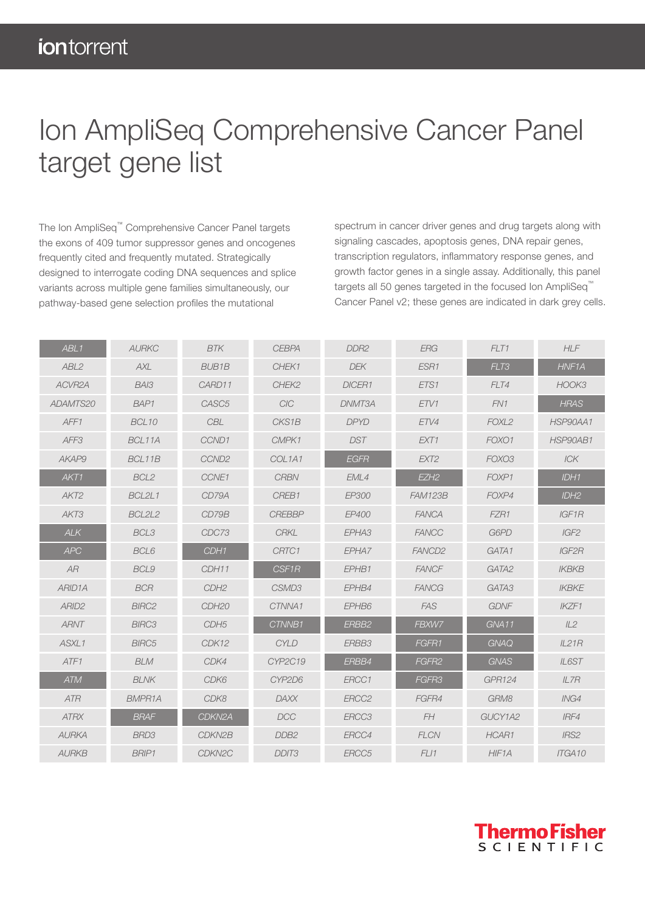## Ion AmpliSeq Comprehensive Cancer Panel target gene list

The Ion AmpliSeq™ Comprehensive Cancer Panel targets the exons of 409 tumor suppressor genes and oncogenes frequently cited and frequently mutated. Strategically designed to interrogate coding DNA sequences and splice variants across multiple gene families simultaneously, our pathway-based gene selection profiles the mutational

spectrum in cancer driver genes and drug targets along with signaling cascades, apoptosis genes, DNA repair genes, transcription regulators, inflammatory response genes, and growth factor genes in a single assay. Additionally, this panel targets all 50 genes targeted in the focused Ion AmpliSeq™ Cancer Panel v2; these genes are indicated in dark grey cells.

| ABL <sub>1</sub>    | <b>AURKC</b>      | <b>BTK</b>         | <b>CEBPA</b>                    | DDR <sub>2</sub> | <b>ERG</b>         | FLT1              | <b>HLF</b>       |
|---------------------|-------------------|--------------------|---------------------------------|------------------|--------------------|-------------------|------------------|
| ABL <sub>2</sub>    | <b>AXL</b>        | <b>BUB1B</b>       | CHEK1                           | <b>DEK</b>       | ESR1               | FLT3              | HNF1A            |
| ACVR <sub>2</sub> A | BAI3              | CARD11             | CHEK2                           | DICER1           | ETS1               | FLT4              | HOOK3            |
| ADAMTS20            | BAP1              | CASC <sub>5</sub>  | ClC                             | DNMT3A           | ETV1               | FN1               | <b>HRAS</b>      |
| AFF1                | BCL <sub>10</sub> | <b>CBL</b>         | CKS1B                           | <b>DPYD</b>      | ETV4               | FOXL <sub>2</sub> | HSP90AA1         |
| AFF3                | BCL11A            | CCND1              | CMPK1                           | <b>DST</b>       | EXT1               | FOXO1             | HSP90AB1         |
| AKAP9               | BCL11B            | CCND <sub>2</sub>  | COL <sub>1</sub> A <sub>1</sub> | <b>EGFR</b>      | EXT <sub>2</sub>   | FOXO3             | ICK              |
| AKT1                | BCL2              | CCNE1              | <b>CRBN</b>                     | EML4             | EZH <sub>2</sub>   | FOXP1             | IDH1             |
| AKT <sub>2</sub>    | BCL2L1            | CD79A              | CREB1                           | EP300            | <b>FAM123B</b>     | FOXP4             | IDH <sub>2</sub> |
| AKT3                | BCL2L2            | CD79B              | <b>CREBBP</b>                   | EP400            | <b>FANCA</b>       | FZR1              | IGF1R            |
| ALK                 | BCL3              | CDC73              | <b>CRKL</b>                     | EPHA3            | <b>FANCC</b>       | G6PD              | IGF2             |
| <b>APC</b>          | BCL6              | CDH1               | CRTC1                           | EPHA7            | FANCD <sub>2</sub> | GATA1             | IGF2R            |
| AR                  | BCL9              | CDH11              | CSF1R                           | EPHB1            | <b>FANCF</b>       | GATA2             | <b>IKBKB</b>     |
| ARID <sub>1</sub> A | <b>BCR</b>        | CDH <sub>2</sub>   | CSMD3                           | EPHB4            | <b>FANCG</b>       | GATA3             | <b>IKBKE</b>     |
| ARID <sub>2</sub>   | <b>BIRC2</b>      | CDH <sub>20</sub>  | CTNNA1                          | EPHB6            | <b>FAS</b>         | <b>GDNF</b>       | IKZF1            |
| <b>ARNT</b>         | <b>BIRC3</b>      | CDH <sub>5</sub>   | CTNNB1                          | ERBB2            | FBXW7              | GNA11             | IL2              |
| ASXL1               | <b>BIRC5</b>      | CDK12              | <b>CYLD</b>                     | ERBB3            | FGFR1              | <b>GNAQ</b>       | IL21R            |
| ATF1                | <b>BLM</b>        | CDK4               | CYP2C19                         | ERBB4            | FGFR2              | <b>GNAS</b>       | IL6ST            |
| <b>ATM</b>          | <b>BLNK</b>       | CDK6               | CYP2D6                          | ERCC1            | FGFR3              | <b>GPR124</b>     | IL7R             |
| <b>ATR</b>          | <b>BMPR1A</b>     | CDK8               | <b>DAXX</b>                     | ERCC2            | FGFR4              | GRM8              | ING4             |
| <b>ATRX</b>         | <b>BRAF</b>       | CDKN2A             | <b>DCC</b>                      | ERCC3            | FH                 | GUCY1A2           | IRF4             |
| <b>AURKA</b>        | BRD3              | CDKN2B             | DDB <sub>2</sub>                | ERCC4            | <b>FLCN</b>        | HCAR1             | IRS2             |
| <b>AURKB</b>        | <b>BRIP1</b>      | CDKN <sub>2C</sub> | DDIT <sub>3</sub>               | ERCC5            | FL11               | HIF1A             | ITGA10           |